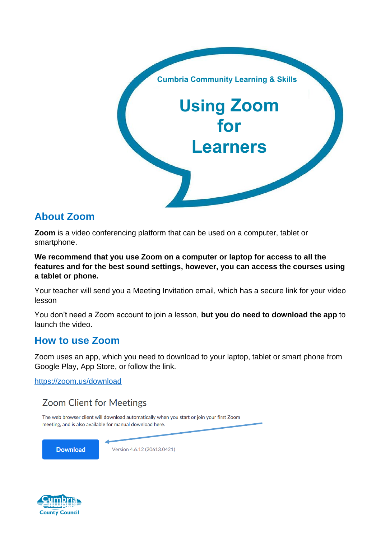

# **About Zoom**

**Zoom** is a video conferencing platform that can be used on a computer, tablet or smartphone.

**We recommend that you use Zoom on a computer or laptop for access to all the features and for the best sound settings, however, you can access the courses using a tablet or phone.**

Your teacher will send you a Meeting Invitation email, which has a secure link for your video lesson

You don't need a Zoom account to join a lesson, **but you do need to download the app** to launch the video.

## **How to use Zoom**

Zoom uses an app, which you need to download to your laptop, tablet or smart phone from Google Play, App Store, or follow the link.

<https://zoom.us/download>

## **Zoom Client for Meetings**

The web browser client will download automatically when you start or join your first Zoom meeting, and is also available for manual download here.

**Download** 

Version 4.6.12 (20613.0421)

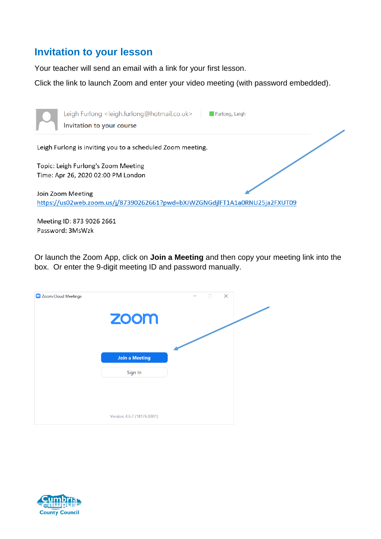# **Invitation to your lesson**

Your teacher will send an email with a link for your first lesson.

Click the link to launch Zoom and enter your video meeting (with password embedded).



Or launch the Zoom App, click on **Join a Meeting** and then copy your meeting link into the box. Or enter the 9-digit meeting ID and password manually.

| Zoom Cloud Meetings |                             | $\times$<br>$\Box$ |  |
|---------------------|-----------------------------|--------------------|--|
|                     | zoom                        |                    |  |
|                     |                             |                    |  |
|                     | <b>Join a Meeting</b>       |                    |  |
|                     | Sign In                     |                    |  |
|                     |                             |                    |  |
|                     | Version: 4.6.7 (18176.0301) |                    |  |

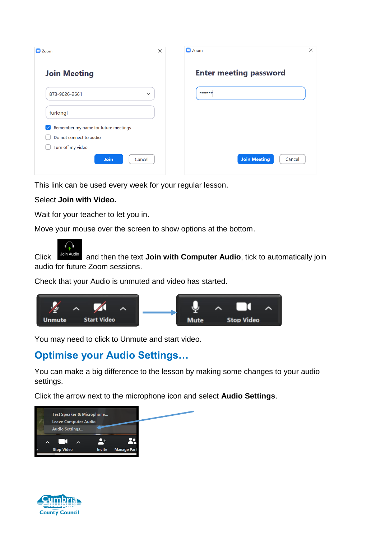| $\times$<br>$\Box$ Zoom                              | $\times$<br>$\Box$ Zoom       |
|------------------------------------------------------|-------------------------------|
| <b>Join Meeting</b>                                  | <b>Enter meeting password</b> |
| 873-9026-2661<br>$\checkmark$                        | ******                        |
| furlongl                                             |                               |
| Remember my name for future meetings<br>$\checkmark$ |                               |
| Do not connect to audio                              |                               |
| Turn off my video                                    |                               |
| Join<br>Cancel                                       | <b>Join Meeting</b><br>Cancel |

This link can be used every week for your regular lesson.

## Select **Join with Video.**

Wait for your teacher to let you in.

Move your mouse over the screen to show options at the bottom.



Click **Join Audio** and then the text **Join with Computer Audio**, tick to automatically join audio for future Zoom sessions.

Check that your Audio is unmuted and video has started.



You may need to click to Unmute and start video.

# **Optimise your Audio Settings…**

You can make a big difference to the lesson by making some changes to your audio settings.

Click the arrow next to the microphone icon and select **Audio Settings**.



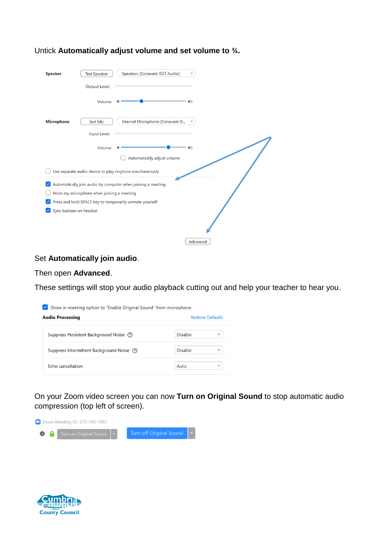| <b>Speaker</b>          | Speakers (Conexant ISST Audio)<br><b>Test Speaker</b><br>$\checkmark$ |  |
|-------------------------|-----------------------------------------------------------------------|--|
|                         | Output Level:                                                         |  |
|                         | Volume:<br>$\blacksquare$                                             |  |
| <b>Microphone</b>       | Internal Microphone (Conexant IS<br><b>Test Mic</b><br>$\checkmark$   |  |
|                         | Input Level:                                                          |  |
|                         | Volume:<br>$\langle \rangle$                                          |  |
|                         | Automatically adjust volume                                           |  |
|                         | Use separate audio device to play ringtone simultaneously             |  |
|                         | Automatically join audio by computer when joining a meeting           |  |
|                         | Mute my microphone when joining a meeting                             |  |
|                         | Press and hold SPACE key to temporarily unmute yourself               |  |
| Sync buttons on headset |                                                                       |  |
|                         | Advanced                                                              |  |

#### Untick **Automatically adjust volume and set volume to ¾.**

#### Set **Automatically join audio**.

#### Then open **Advanced**.

These settings will stop your audio playback cutting out and help your teacher to hear you.



On your Zoom video screen you can now **Turn on Original Sound** to stop automatic audio compression (top left of screen).



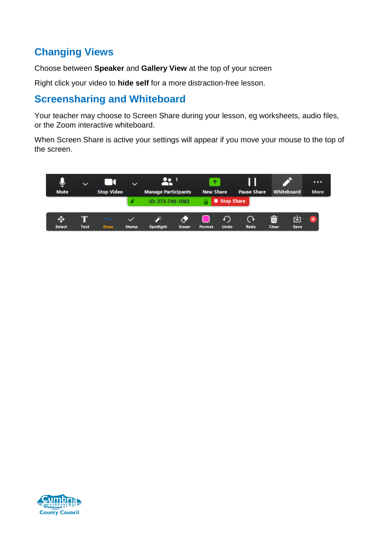# **Changing Views**

Choose between **Speaker** and **Gallery View** at the top of your screen

Right click your video to **hide self** for a more distraction-free lesson.

# **Screensharing and Whiteboard**

Your teacher may choose to Screen Share during your lesson, eg worksheets, audio files, or the Zoom interactive whiteboard.

When Screen Share is active your settings will appear if you move your mouse to the top of the screen.